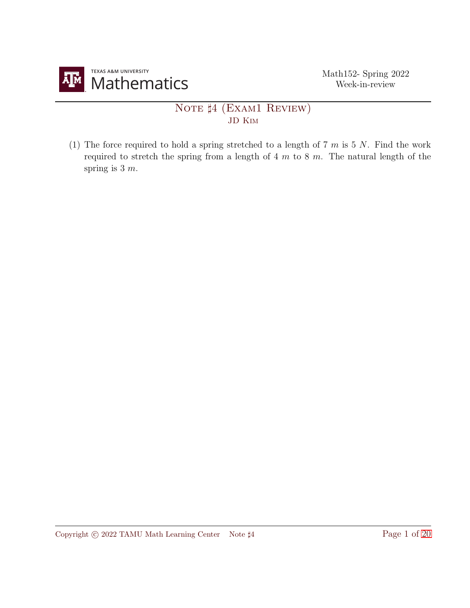

## NOTE  $\sharp 4$  (EXAM1 REVIEW) JD Kim

(1) The force required to hold a spring stretched to a length of 7  $m$  is 5  $N$ . Find the work required to stretch the spring from a length of  $4 \, m$  to  $8 \, m$ . The natural length of the spring is  $3 m$ .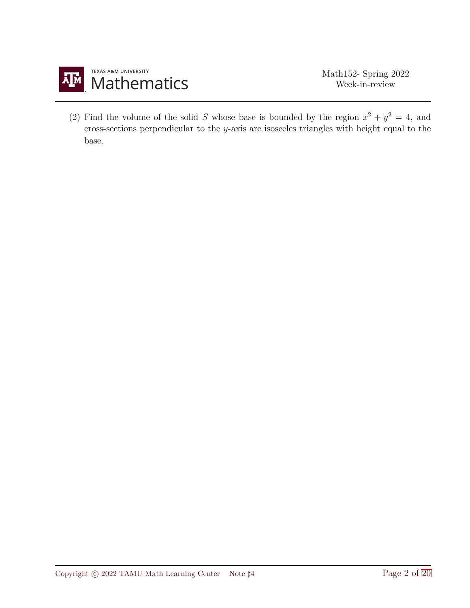

(2) Find the volume of the solid S whose base is bounded by the region  $x^2 + y^2 = 4$ , and cross-sections perpendicular to the  $y$ -axis are isosceles triangles with height equal to the base.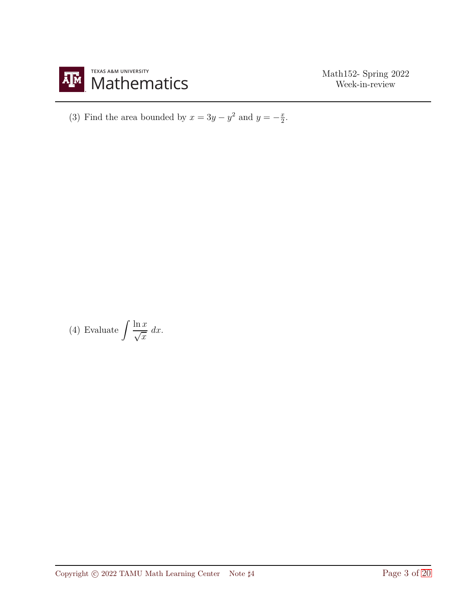

(3) Find the area bounded by  $x = 3y - y^2$  and  $y = -\frac{x}{2}$ .

(4) Evaluate  $\int \frac{\ln x}{\sqrt{x}}$  $\sqrt{x}$  $dx$ .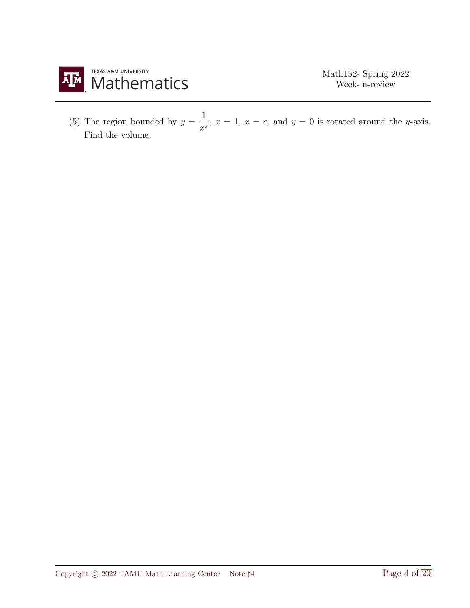

(5) The region bounded by  $y = \frac{1}{x}$  $\frac{1}{x^2}$ ,  $x = 1$ ,  $x = e$ , and  $y = 0$  is rotated around the y-axis. Find the volume.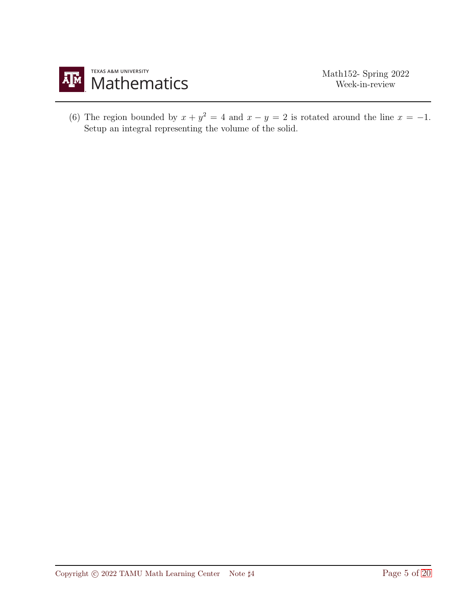

(6) The region bounded by  $x + y^2 = 4$  and  $x - y = 2$  is rotated around the line  $x = -1$ . Setup an integral representing the volume of the solid.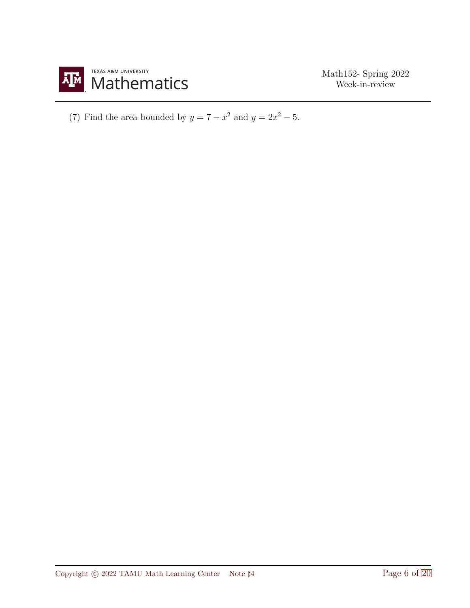

(7) Find the area bounded by  $y = 7 - x^2$  and  $y = 2x^2 - 5$ .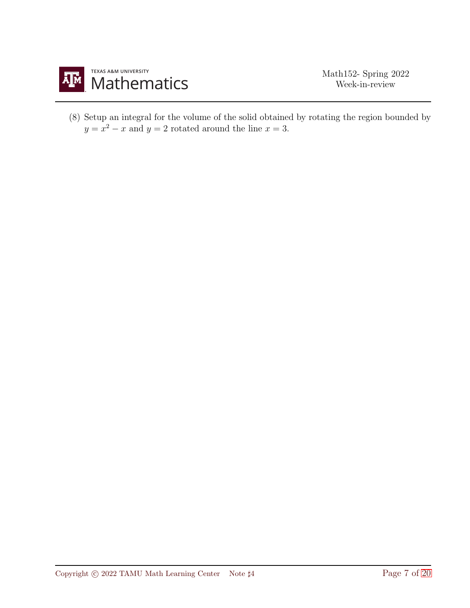

(8) Setup an integral for the volume of the solid obtained by rotating the region bounded by  $y = x^2 - x$  and  $y = 2$  rotated around the line  $x = 3$ .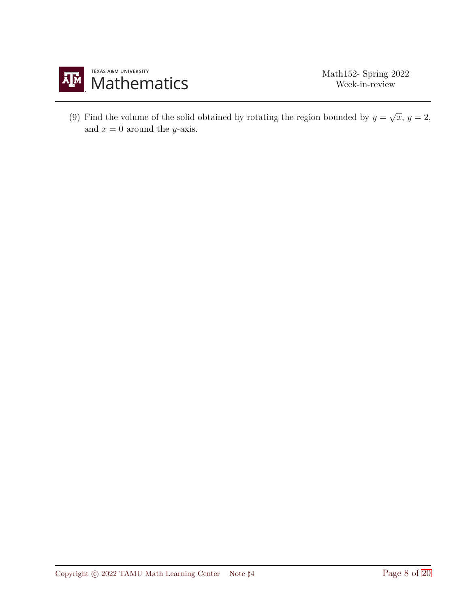

(9) Find the volume of the solid obtained by rotating the region bounded by  $y = \sqrt{x}$ ,  $y = 2$ , and  $x = 0$  around the *y*-axis.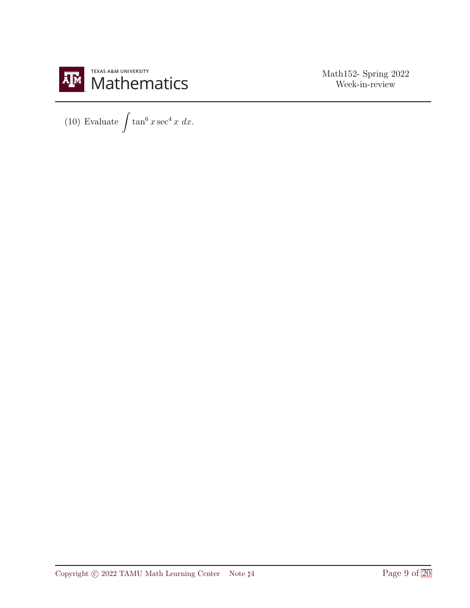

(10) Evaluate  $\int \tan^6 x \sec^4 x \ dx$ .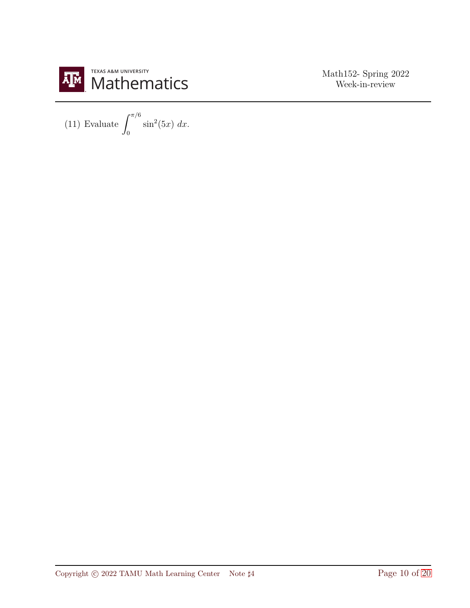

(11) Evaluate  $\int^{\pi/6}$  $\overline{0}$  $\sin^2(5x) dx$ .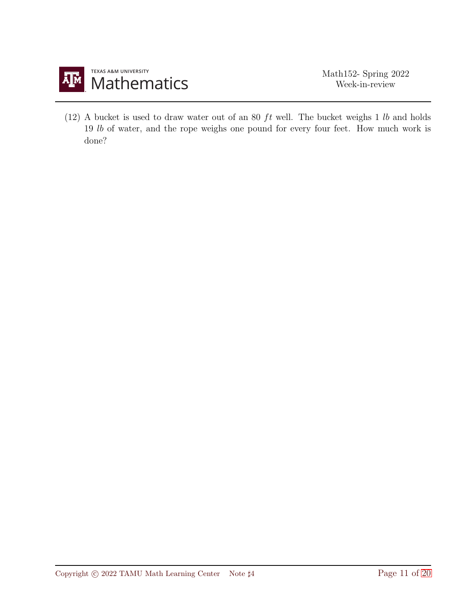

(12) A bucket is used to draw water out of an 80  $ft$  well. The bucket weighs 1  $lb$  and holds 19 lb of water, and the rope weighs one pound for every four feet. How much work is done?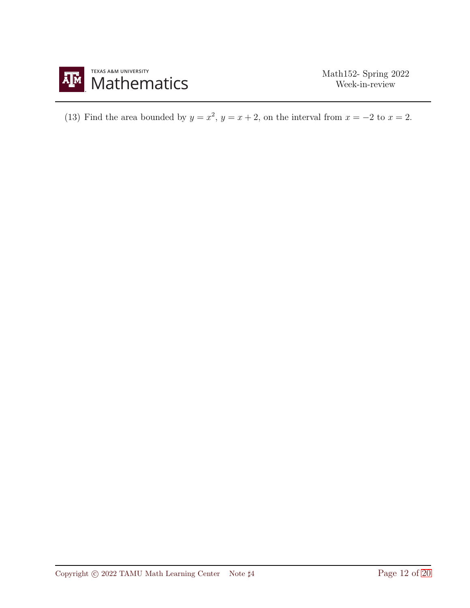

(13) Find the area bounded by  $y = x^2$ ,  $y = x + 2$ , on the interval from  $x = -2$  to  $x = 2$ .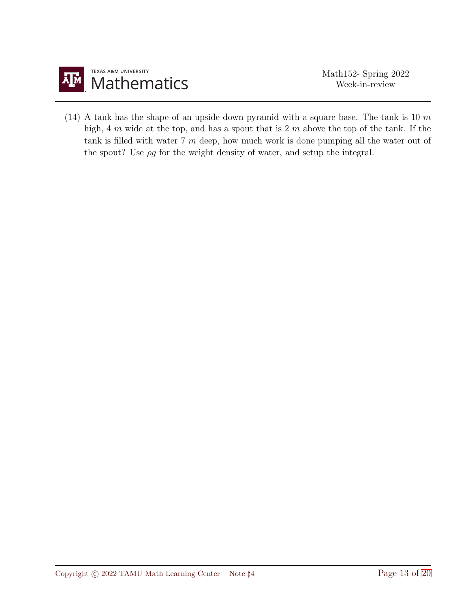

(14) A tank has the shape of an upside down pyramid with a square base. The tank is 10  $m$ high, 4 m wide at the top, and has a spout that is 2 m above the top of the tank. If the tank is filled with water 7 m deep, how much work is done pumping all the water out of the spout? Use  $\rho g$  for the weight density of water, and setup the integral.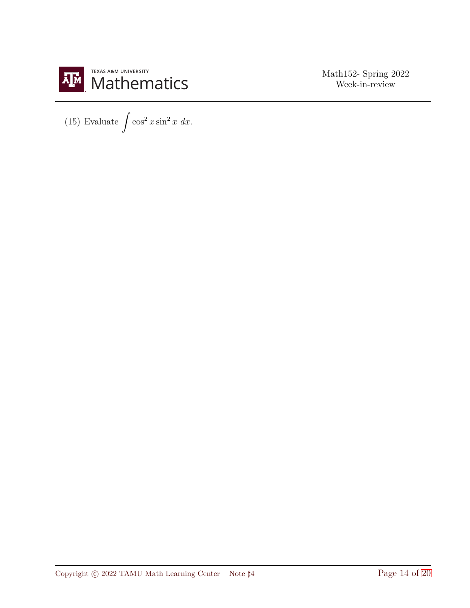

(15) Evaluate  $\int \cos^2 x \sin^2 x \ dx$ .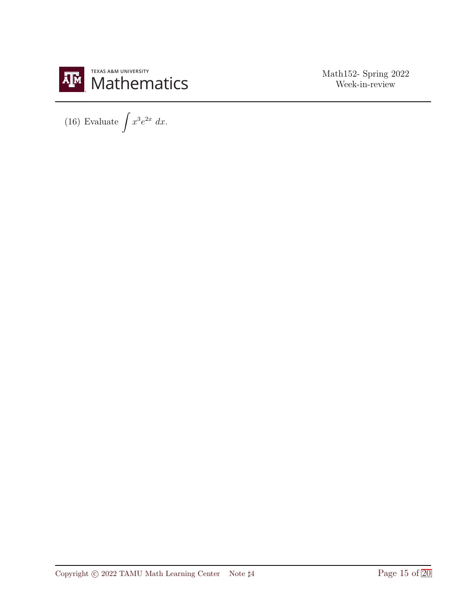

(16) Evaluate  $\int x^3 e^{2x} dx$ .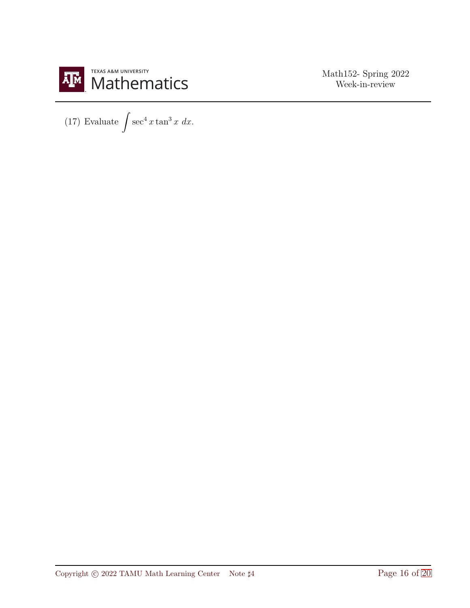

(17) Evaluate  $\int \sec^4 x \tan^3 x \ dx$ .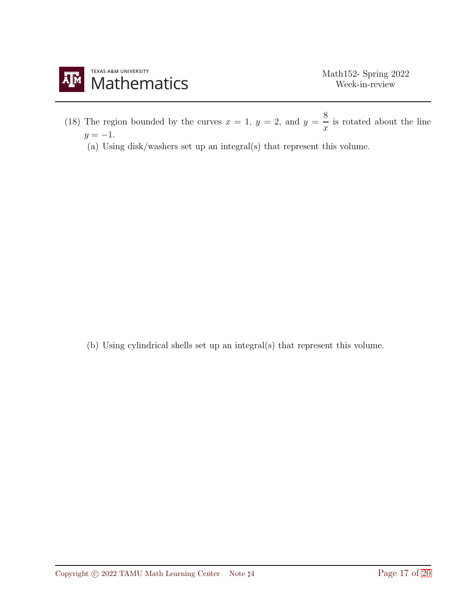

- (18) The region bounded by the curves  $x = 1, y = 2$ , and  $y = \frac{8}{3}$  $\frac{\tilde{c}}{x}$  is rotated about the line  $y = -1$ .
	- (a) Using disk/washers set up an integral(s) that represent this volume.

(b) Using cylindrical shells set up an integral(s) that represent this volume.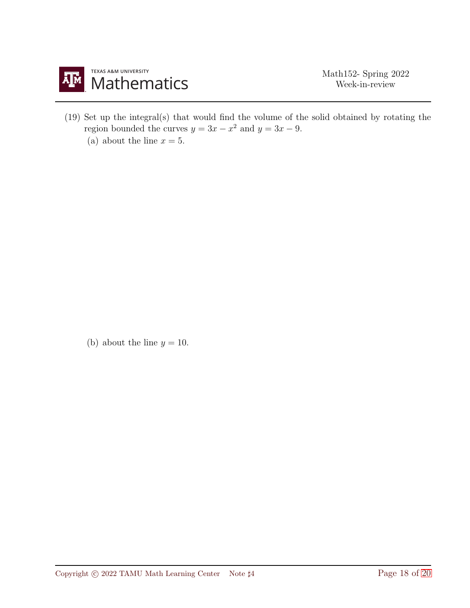

(19) Set up the integral(s) that would find the volume of the solid obtained by rotating the region bounded the curves  $y = 3x - x^2$  and  $y = 3x - 9$ . (a) about the line  $x = 5$ .

(b) about the line  $y = 10$ .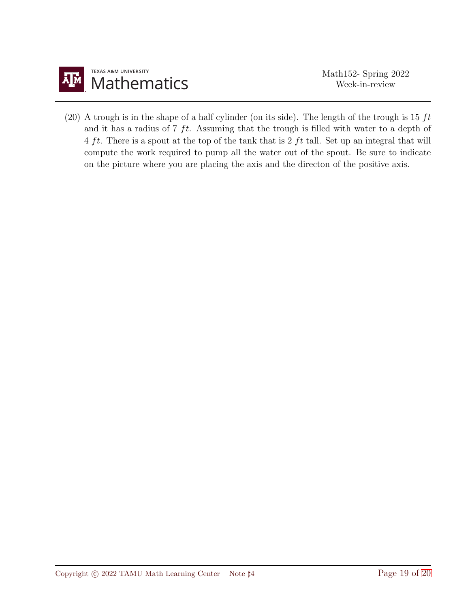

(20) A trough is in the shape of a half cylinder (on its side). The length of the trough is 15  $ft$ and it has a radius of  $7 \text{ ft}$ . Assuming that the trough is filled with water to a depth of 4 ft. There is a spout at the top of the tank that is 2 ft tall. Set up an integral that will compute the work required to pump all the water out of the spout. Be sure to indicate on the picture where you are placing the axis and the directon of the positive axis.